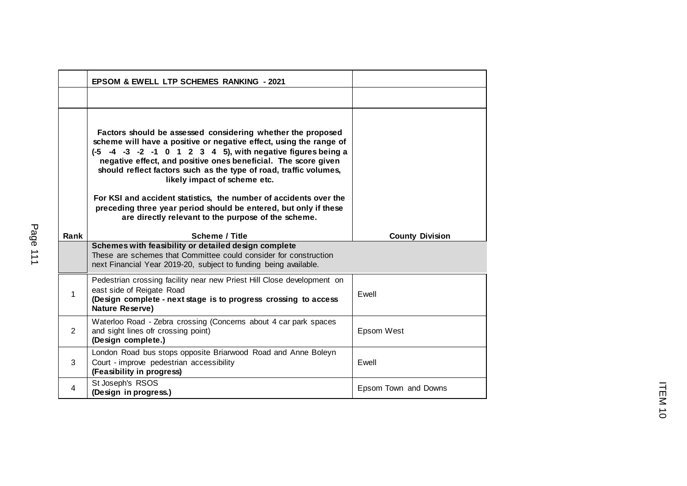|                | <b>EPSOM &amp; EWELL LTP SCHEMES RANKING - 2021</b>                                                                                                                                                                                                                                                                                                                                                                                                                                                              |                        |
|----------------|------------------------------------------------------------------------------------------------------------------------------------------------------------------------------------------------------------------------------------------------------------------------------------------------------------------------------------------------------------------------------------------------------------------------------------------------------------------------------------------------------------------|------------------------|
|                |                                                                                                                                                                                                                                                                                                                                                                                                                                                                                                                  |                        |
|                | Factors should be assessed considering whether the proposed<br>scheme will have a positive or negative effect, using the range of<br>(-5 -4 -3 -2 -1 0 1 2 3 4 5), with negative figures being a<br>negative effect, and positive ones beneficial. The score given<br>should reflect factors such as the type of road, traffic volumes,<br>likely impact of scheme etc.<br>For KSI and accident statistics, the number of accidents over the<br>preceding three year period should be entered, but only if these |                        |
|                | are directly relevant to the purpose of the scheme.                                                                                                                                                                                                                                                                                                                                                                                                                                                              |                        |
| Rank           | <b>Scheme / Title</b>                                                                                                                                                                                                                                                                                                                                                                                                                                                                                            | <b>County Division</b> |
|                | Schemes with feasibility or detailed design complete<br>These are schemes that Committee could consider for construction<br>next Financial Year 2019-20, subject to funding being available.                                                                                                                                                                                                                                                                                                                     |                        |
|                | Pedestrian crossing facility near new Priest Hill Close development on                                                                                                                                                                                                                                                                                                                                                                                                                                           |                        |
| $\mathbf{1}$   | east side of Reigate Road<br>(Design complete - next stage is to progress crossing to access<br>Nature Reserve)                                                                                                                                                                                                                                                                                                                                                                                                  | Ewell                  |
| $\overline{2}$ | Waterloo Road - Zebra crossing (Concerns about 4 car park spaces<br>and sight lines ofr crossing point)<br>(Design complete.)                                                                                                                                                                                                                                                                                                                                                                                    | Epsom West             |
| 3              | London Road bus stops opposite Briarwood Road and Anne Boleyn<br>Court - improve pedestrian accessibility<br>(Feasibility in progress)                                                                                                                                                                                                                                                                                                                                                                           | Ewell                  |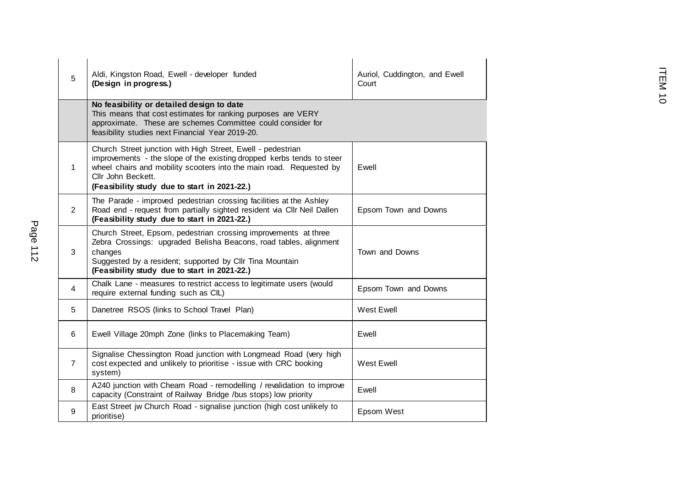| Page 112 | 5              | Aldi, Kingston Road, Ewell - developer funded<br>(Design in progress.)                                                                                                                                                                                                            | Auriol, Cuddington, and Ewell<br>Court | EM <sub>10</sub> |
|----------|----------------|-----------------------------------------------------------------------------------------------------------------------------------------------------------------------------------------------------------------------------------------------------------------------------------|----------------------------------------|------------------|
|          |                | No feasibility or detailed design to date<br>This means that cost estimates for ranking purposes are VERY<br>approximate. These are schemes Committee could consider for<br>feasibility studies next Financial Year 2019-20.                                                      |                                        |                  |
|          | $\mathbf 1$    | Church Street junction with High Street, Ewell - pedestrian<br>improvements - the slope of the existing dropped kerbs tends to steer<br>wheel chairs and mobility scooters into the main road. Requested by<br>Cllr John Beckett.<br>(Feasibility study due to start in 2021-22.) | Ewell                                  |                  |
|          | $\overline{2}$ | The Parade - improved pedestrian crossing facilities at the Ashley<br>Road end - request from partially sighted resident via Cllr Neil Dallen<br>(Feasibility study due to start in 2021-22.)                                                                                     | Epsom Town and Downs                   |                  |
|          | 3              | Church Street, Epsom, pedestrian crossing improvements at three<br>Zebra Crossings: upgraded Belisha Beacons, road tables, alignment<br>changes<br>Suggested by a resident; supported by Cllr Tina Mountain<br>(Feasibility study due to start in 2021-22.)                       | Town and Downs                         |                  |
|          | 4              | Chalk Lane - measures to restrict access to legitimate users (would<br>require external funding such as CIL)                                                                                                                                                                      | Epsom Town and Downs                   |                  |
|          | 5              | Danetree RSOS (links to School Travel Plan)                                                                                                                                                                                                                                       | West Ewell                             |                  |
|          | 6              | Ewell Village 20mph Zone (links to Placemaking Team)                                                                                                                                                                                                                              | Ewell                                  |                  |
|          | $\overline{7}$ | Signalise Chessington Road junction with Longmead Road (very high<br>cost expected and unlikely to prioritise - issue with CRC booking<br>system)                                                                                                                                 | <b>West Ewell</b>                      |                  |
|          | 8              | A240 junction with Cheam Road - remodelling / revalidation to improve<br>capacity (Constraint of Railway Bridge /bus stops) low priority                                                                                                                                          | Ewell                                  |                  |
|          | 9              | East Street jw Church Road - signalise junction (high cost unlikely to<br>prioritise)                                                                                                                                                                                             | Epsom West                             |                  |